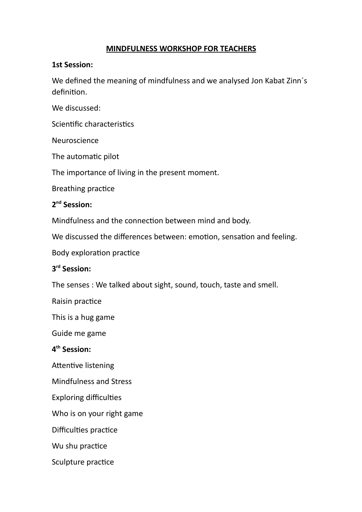#### **MINDFULNESS WORKSHOP FOR TEACHERS**

#### **1st Session:**

We defined the meaning of mindfulness and we analysed Jon Kabat Zinn´s definition.

We discussed:

Scientific characteristics

Neuroscience

The automatic pilot

The importance of living in the present moment.

Breathing practice

### **2 nd Session:**

Mindfulness and the connection between mind and body.

We discussed the differences between: emotion, sensation and feeling.

Body exploration practice

### **3 rd Session:**

The senses : We talked about sight, sound, touch, taste and smell.

Raisin practice

This is a hug game

Guide me game

### **4 th Session:**

Attentive listening

Mindfulness and Stress

Exploring difficulties

Who is on your right game

Difficulties practice

Wu shu practice

Sculpture practice